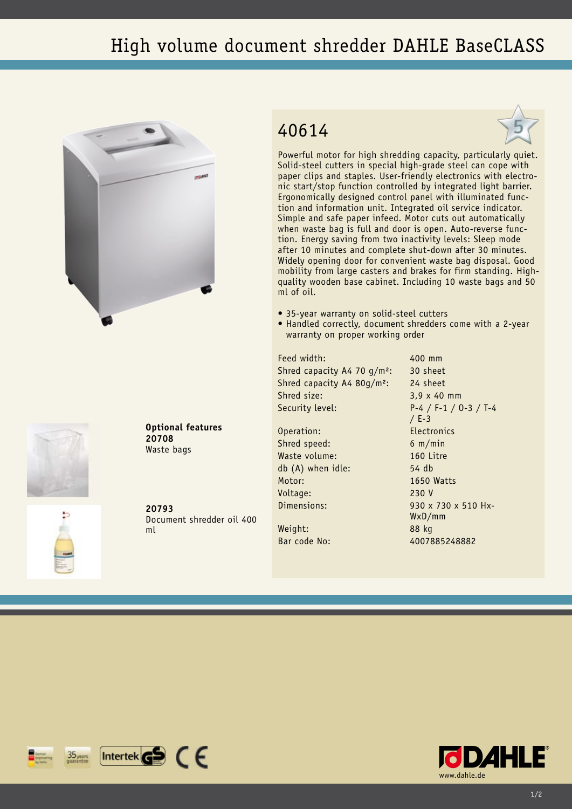## High volume document shredder DAHLE BaseCLASS





**Optional features 20708** Waste bags

**20793** Document shredder oil 400 ml

## 40614



Powerful motor for high shredding capacity, particularly quiet. Solid-steel cutters in special high-grade steel can cope with paper clips and staples. User-friendly electronics with electronic start/stop function controlled by integrated light barrier. Ergonomically designed control panel with illuminated function and information unit. Integrated oil service indicator. Simple and safe paper infeed. Motor cuts out automatically when waste bag is full and door is open. Auto-reverse function. Energy saving from two inactivity levels: Sleep mode after 10 minutes and complete shut-down after 30 minutes. Widely opening door for convenient waste bag disposal. Good mobility from large casters and brakes for firm standing. Highquality wooden base cabinet. Including 10 waste bags and 50 ml of oil.

- 35-year warranty on solid-steel cutters
- Handled correctly, document shredders come with a 2-year warranty on proper working order

Feed width: 400 mm Shred capacity A4 70 g/m<sup>2</sup>: 30 sheet Shred capacity A4 80g/m²: 24 sheet Shred size: 3,9 x 40 mm

Operation: Electronics Shred speed: 6 m/min Waste volume: 160 Litre db (A) when idle: 54 db Motor: 1650 Watts Voltage: 230 V

Weight: 88 kg

Security level: P-4 / F-1 / O-3 / T-4 / E-3 Dimensions: 930 x 730 x 510 Hx-WxD/mm Bar code No: 4007885248882